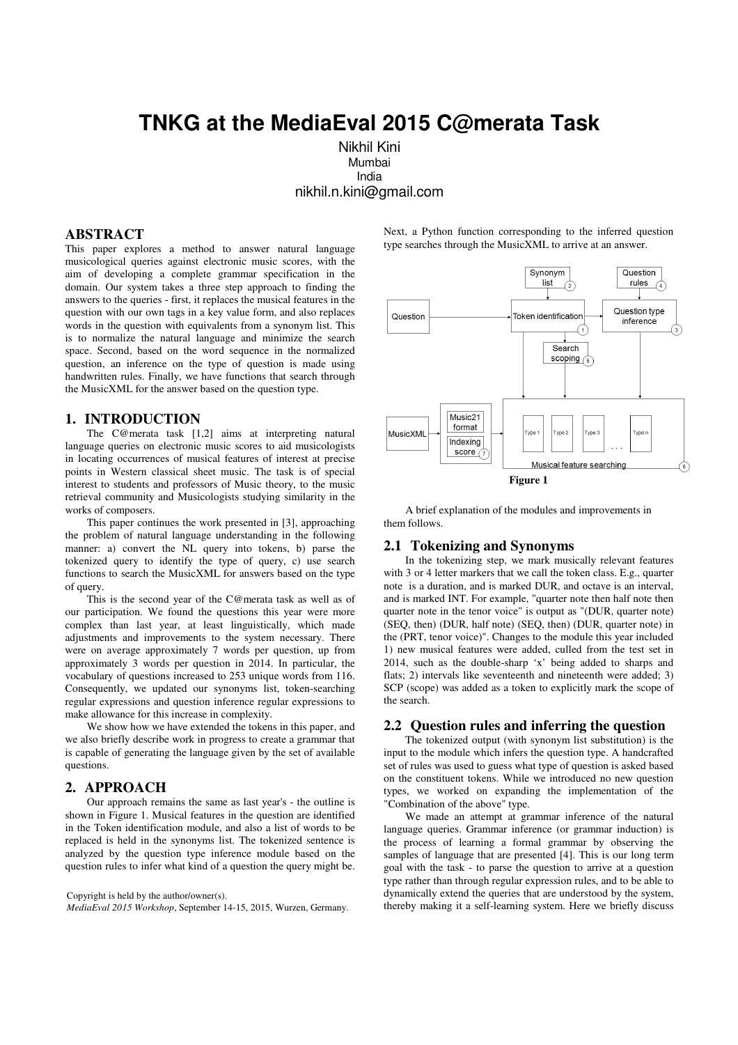# **TNKG at the MediaEval 2015 C@merata Task**

 Nikhil Kini Mumbai India nikhil.n.kini@gmail.com

# **ABSTRACT**

This paper explores a method to answer natural language musicological queries against electronic music scores, with the aim of developing a complete grammar specification in the domain. Our system takes a three step approach to finding the answers to the queries - first, it replaces the musical features in the question with our own tags in a key value form, and also replaces words in the question with equivalents from a synonym list. This is to normalize the natural language and minimize the search space. Second, based on the word sequence in the normalized question, an inference on the type of question is made using handwritten rules. Finally, we have functions that search through the MusicXML for the answer based on the question type.

# **1. INTRODUCTION**

The C@merata task [1,2] aims at interpreting natural language queries on electronic music scores to aid musicologists in locating occurrences of musical features of interest at precise points in Western classical sheet music. The task is of special interest to students and professors of Music theory, to the music retrieval community and Musicologists studying similarity in the works of composers.

This paper continues the work presented in [3], approaching the problem of natural language understanding in the following manner: a) convert the NL query into tokens, b) parse the tokenized query to identify the type of query, c) use search functions to search the MusicXML for answers based on the type of query.

This is the second year of the C@merata task as well as of our participation. We found the questions this year were more complex than last year, at least linguistically, which made adjustments and improvements to the system necessary. There were on average approximately 7 words per question, up from approximately 3 words per question in 2014. In particular, the vocabulary of questions increased to 253 unique words from 116. Consequently, we updated our synonyms list, token-searching regular expressions and question inference regular expressions to make allowance for this increase in complexity.

We show how we have extended the tokens in this paper, and we also briefly describe work in progress to create a grammar that is capable of generating the language given by the set of available questions.

#### **2. APPROACH**

Our approach remains the same as last year's - the outline is shown in Figure 1. Musical features in the question are identified in the Token identification module, and also a list of words to be replaced is held in the synonyms list. The tokenized sentence is analyzed by the question type inference module based on the question rules to infer what kind of a question the query might be.

#### Copyright is held by the author/owner(s).

*MediaEval 2015 Workshop*, September 14-15, 2015, Wurzen, Germany.

Next, a Python function corresponding to the inferred question type searches through the MusicXML to arrive at an answer.



A brief explanation of the modules and improvements in them follows.

#### **2.1 Tokenizing and Synonyms**

In the tokenizing step, we mark musically relevant features with 3 or 4 letter markers that we call the token class. E.g., quarter note is a duration, and is marked DUR, and octave is an interval, and is marked INT. For example, "quarter note then half note then quarter note in the tenor voice" is output as "(DUR, quarter note) (SEQ, then) (DUR, half note) (SEQ, then) (DUR, quarter note) in the (PRT, tenor voice)". Changes to the module this year included 1) new musical features were added, culled from the test set in 2014, such as the double-sharp 'x' being added to sharps and flats; 2) intervals like seventeenth and nineteenth were added; 3) SCP (scope) was added as a token to explicitly mark the scope of the search.

### **2.2 Question rules and inferring the question**

The tokenized output (with synonym list substitution) is the input to the module which infers the question type. A handcrafted set of rules was used to guess what type of question is asked based on the constituent tokens. While we introduced no new question types, we worked on expanding the implementation of the "Combination of the above" type.

We made an attempt at grammar inference of the natural language queries. Grammar inference (or grammar induction) is the process of learning a formal grammar by observing the samples of language that are presented [4]. This is our long term goal with the task - to parse the question to arrive at a question type rather than through regular expression rules, and to be able to dynamically extend the queries that are understood by the system, thereby making it a self-learning system. Here we briefly discuss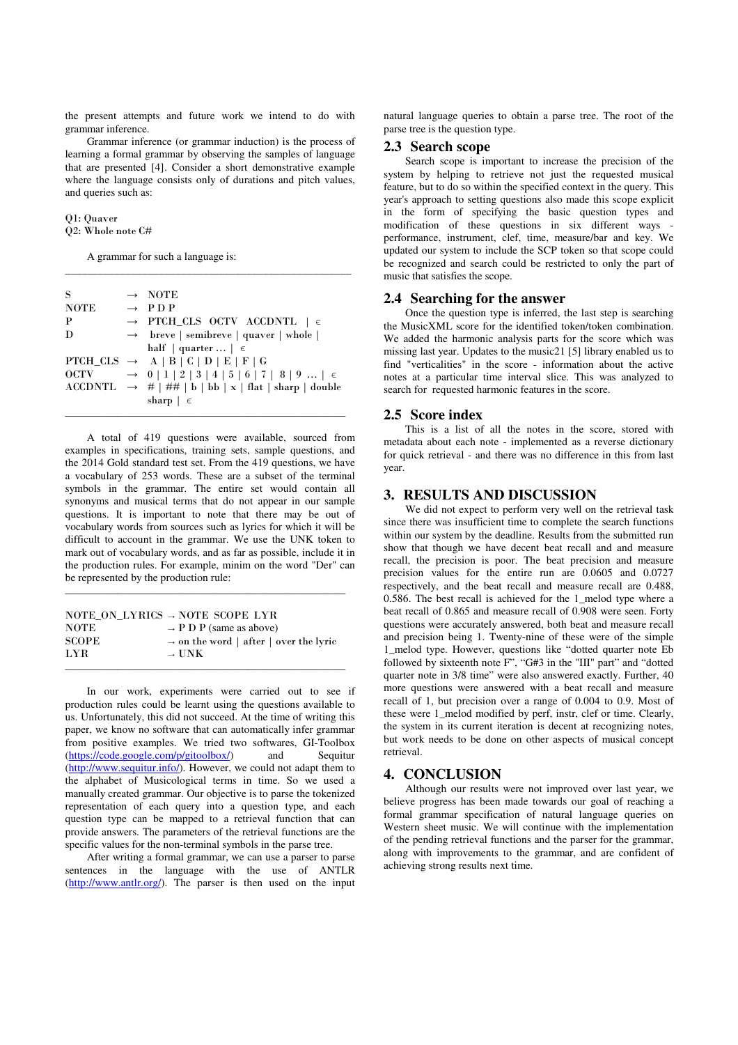the present attempts and future work we intend to do with grammar inference.

Grammar inference (or grammar induction) is the process of learning a formal grammar by observing the samples of language that are presented [4]. Consider a short demonstrative example where the language consists only of durations and pitch values, and queries such as:

\_\_\_\_\_\_\_\_\_\_\_\_\_\_\_\_\_\_\_\_\_\_\_\_\_\_\_\_\_\_\_\_\_\_\_\_\_\_\_\_\_\_\_\_\_\_\_\_\_\_\_\_

Q1: Quaver Q2: Whole note C#

A grammar for such a language is:

| S           | $\rightarrow$ NOTE                                                        |
|-------------|---------------------------------------------------------------------------|
| <b>NOTE</b> | $\rightarrow$ PDP                                                         |
| P           | $\rightarrow$ PTCH_CLS OCTV ACCDNTL $\mid \in$                            |
| D           | $\rightarrow$ breve   semibreve   quaver   whole                          |
|             | half   quarter $\in$                                                      |
|             | PTCH_CLS $\rightarrow$ A   B   C   D   E   F   G                          |
| OCTV        | $\rightarrow$ 0   1   2   3   4   5   6   7   8   9    $\in$              |
|             | $\text{ACCDNTL} \rightarrow #   # #   b   bb   x   flat   sharp   double$ |
|             | sharp $\vert \epsilon$                                                    |
|             |                                                                           |

\_\_\_\_\_\_\_\_\_\_\_\_\_\_\_\_\_\_\_\_\_\_\_\_\_\_\_\_\_\_\_\_\_\_\_\_\_\_\_\_\_\_\_

A total of 419 questions were available, sourced from examples in specifications, training sets, sample questions, and the 2014 Gold standard test set. From the 419 questions, we have a vocabulary of 253 words. These are a subset of the terminal symbols in the grammar. The entire set would contain all synonyms and musical terms that do not appear in our sample questions. It is important to note that there may be out of vocabulary words from sources such as lyrics for which it will be difficult to account in the grammar. We use the UNK token to mark out of vocabulary words, and as far as possible, include it in the production rules. For example, minim on the word "Der" can be represented by the production rule:

|              | NOTE ON LYRICS $\rightarrow$ NOTE SCOPE LYR        |
|--------------|----------------------------------------------------|
| NOTE         | $\rightarrow$ P D P (same as above)                |
| <b>SCOPE</b> | $\rightarrow$ on the word   after   over the lyric |
| LYR.         | $\rightarrow$ UNK                                  |
|              |                                                    |

\_\_\_\_\_\_\_\_\_\_\_\_\_\_\_\_\_\_\_\_\_\_\_\_\_\_\_\_\_\_\_\_\_\_\_\_\_\_\_\_\_\_\_

\_\_\_\_\_\_\_\_\_\_\_\_\_\_\_\_\_\_\_\_\_\_\_\_\_\_\_\_\_\_\_\_\_\_\_\_\_\_\_\_\_\_\_

In our work, experiments were carried out to see if production rules could be learnt using the questions available to us. Unfortunately, this did not succeed. At the time of writing this paper, we know no software that can automatically infer grammar from positive examples. We tried two softwares, GI-Toolbox (https://code.google.com/p/gitoolbox/) and Sequitur (http://www.sequitur.info/). However, we could not adapt them to the alphabet of Musicological terms in time. So we used a manually created grammar. Our objective is to parse the tokenized representation of each query into a question type, and each question type can be mapped to a retrieval function that can provide answers. The parameters of the retrieval functions are the specific values for the non-terminal symbols in the parse tree.

After writing a formal grammar, we can use a parser to parse sentences in the language with the use of ANTLR (http://www.antlr.org/). The parser is then used on the input natural language queries to obtain a parse tree. The root of the parse tree is the question type.

## **2.3 Search scope**

Search scope is important to increase the precision of the system by helping to retrieve not just the requested musical feature, but to do so within the specified context in the query. This year's approach to setting questions also made this scope explicit in the form of specifying the basic question types and modification of these questions in six different ways performance, instrument, clef, time, measure/bar and key. We updated our system to include the SCP token so that scope could be recognized and search could be restricted to only the part of music that satisfies the scope.

#### **2.4 Searching for the answer**

Once the question type is inferred, the last step is searching the MusicXML score for the identified token/token combination. We added the harmonic analysis parts for the score which was missing last year. Updates to the music21 [5] library enabled us to find "verticalities" in the score - information about the active notes at a particular time interval slice. This was analyzed to search for requested harmonic features in the score.

#### **2.5 Score index**

This is a list of all the notes in the score, stored with metadata about each note - implemented as a reverse dictionary for quick retrieval - and there was no difference in this from last year.

## **3. RESULTS AND DISCUSSION**

We did not expect to perform very well on the retrieval task since there was insufficient time to complete the search functions within our system by the deadline. Results from the submitted run show that though we have decent beat recall and and measure recall, the precision is poor. The beat precision and measure precision values for the entire run are 0.0605 and 0.0727 respectively, and the beat recall and measure recall are 0.488, 0.586. The best recall is achieved for the 1\_melod type where a beat recall of 0.865 and measure recall of 0.908 were seen. Forty questions were accurately answered, both beat and measure recall and precision being 1. Twenty-nine of these were of the simple 1\_melod type. However, questions like "dotted quarter note Eb followed by sixteenth note F", "G#3 in the "III" part" and "dotted quarter note in 3/8 time" were also answered exactly. Further, 40 more questions were answered with a beat recall and measure recall of 1, but precision over a range of 0.004 to 0.9. Most of these were 1\_melod modified by perf, instr, clef or time. Clearly, the system in its current iteration is decent at recognizing notes, but work needs to be done on other aspects of musical concept retrieval.

## **4. CONCLUSION**

Although our results were not improved over last year, we believe progress has been made towards our goal of reaching a formal grammar specification of natural language queries on Western sheet music. We will continue with the implementation of the pending retrieval functions and the parser for the grammar, along with improvements to the grammar, and are confident of achieving strong results next time.